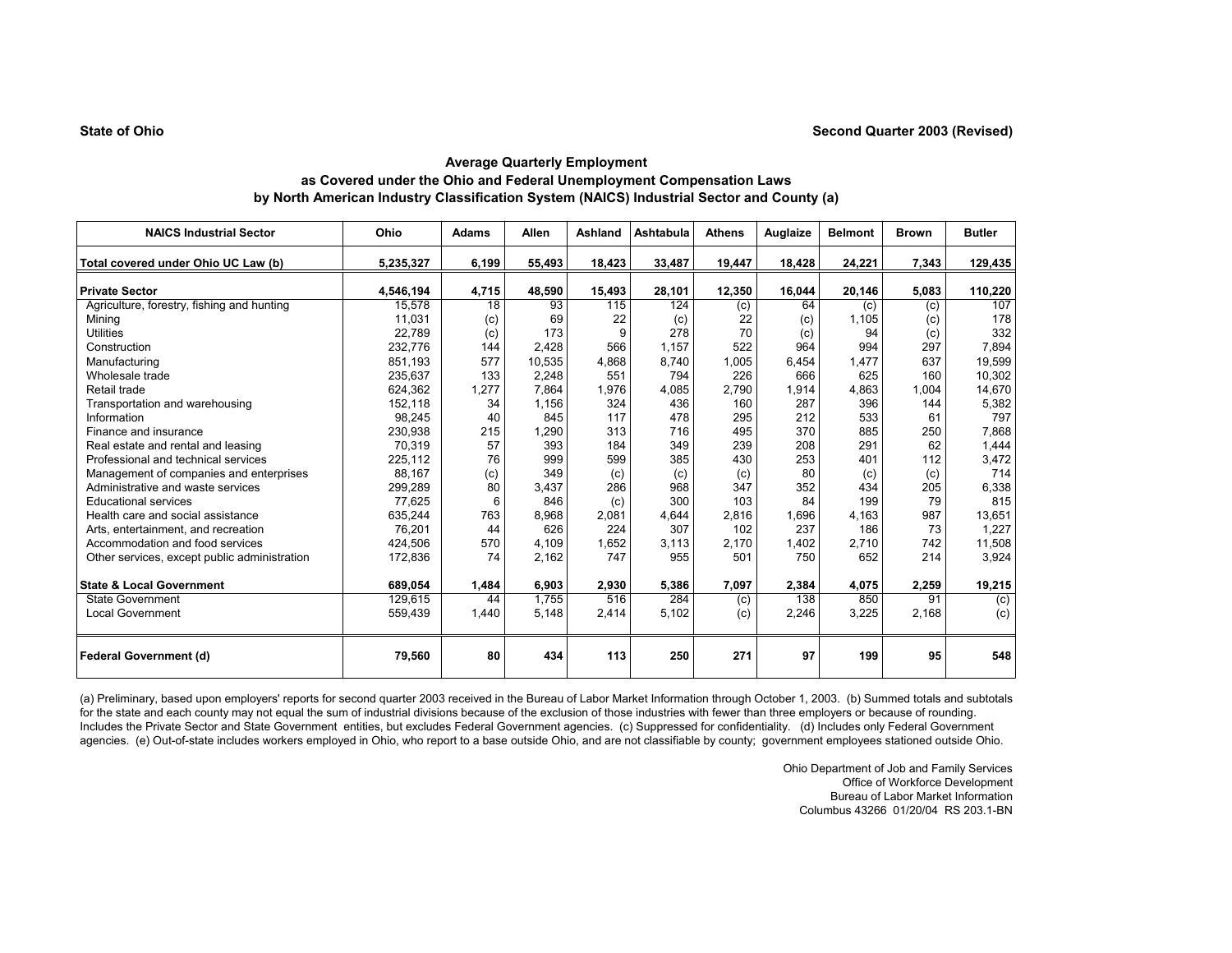| <b>NAICS Industrial Sector</b>               | Ohio      | <b>Adams</b>    | Allen  | Ashland | Ashtabula | <b>Athens</b> | Auglaize | <b>Belmont</b> | <b>Brown</b> | <b>Butler</b> |
|----------------------------------------------|-----------|-----------------|--------|---------|-----------|---------------|----------|----------------|--------------|---------------|
| Total covered under Ohio UC Law (b)          | 5,235,327 | 6,199           | 55,493 | 18,423  | 33,487    | 19,447        | 18,428   | 24,221         | 7,343        | 129,435       |
| <b>Private Sector</b>                        | 4,546,194 | 4,715           | 48,590 | 15,493  | 28,101    | 12,350        | 16,044   | 20,146         | 5,083        | 110,220       |
| Agriculture, forestry, fishing and hunting   | 15.578    | $\overline{18}$ | 93     | 115     | 124       | (c)           | 64       | (c)            | (c)          | 107           |
| Mining                                       | 11.031    | (c)             | 69     | 22      | (c)       | 22            | (c)      | 1.105          | (c)          | 178           |
| <b>Utilities</b>                             | 22,789    | (c)             | 173    | 9       | 278       | 70            | (c)      | 94             | (c)          | 332           |
| Construction                                 | 232,776   | 144             | 2,428  | 566     | 1.157     | 522           | 964      | 994            | 297          | 7,894         |
| Manufacturing                                | 851,193   | 577             | 10,535 | 4,868   | 8,740     | 1,005         | 6,454    | 1,477          | 637          | 19,599        |
| Wholesale trade                              | 235.637   | 133             | 2,248  | 551     | 794       | 226           | 666      | 625            | 160          | 10,302        |
| Retail trade                                 | 624,362   | 1,277           | 7,864  | 1,976   | 4,085     | 2,790         | 1,914    | 4,863          | 1,004        | 14,670        |
| Transportation and warehousing               | 152,118   | 34              | 1.156  | 324     | 436       | 160           | 287      | 396            | 144          | 5,382         |
| Information                                  | 98,245    | 40              | 845    | 117     | 478       | 295           | 212      | 533            | 61           | 797           |
| Finance and insurance                        | 230,938   | 215             | 1,290  | 313     | 716       | 495           | 370      | 885            | 250          | 7,868         |
| Real estate and rental and leasing           | 70.319    | 57              | 393    | 184     | 349       | 239           | 208      | 291            | 62           | 1,444         |
| Professional and technical services          | 225,112   | 76              | 999    | 599     | 385       | 430           | 253      | 401            | 112          | 3,472         |
| Management of companies and enterprises      | 88.167    | (c)             | 349    | (c)     | (c)       | (c)           | 80       | (c)            | (c)          | 714           |
| Administrative and waste services            | 299,289   | 80              | 3,437  | 286     | 968       | 347           | 352      | 434            | 205          | 6,338         |
| <b>Educational services</b>                  | 77,625    | 6               | 846    | (c)     | 300       | 103           | 84       | 199            | 79           | 815           |
| Health care and social assistance            | 635,244   | 763             | 8,968  | 2,081   | 4,644     | 2,816         | 1,696    | 4,163          | 987          | 13,651        |
| Arts, entertainment, and recreation          | 76,201    | 44              | 626    | 224     | 307       | 102           | 237      | 186            | 73           | 1,227         |
| Accommodation and food services              | 424,506   | 570             | 4,109  | 1,652   | 3,113     | 2,170         | 1,402    | 2,710          | 742          | 11,508        |
| Other services, except public administration | 172,836   | 74              | 2,162  | 747     | 955       | 501           | 750      | 652            | 214          | 3,924         |
| <b>State &amp; Local Government</b>          | 689,054   | 1,484           | 6,903  | 2,930   | 5,386     | 7,097         | 2,384    | 4,075          | 2,259        | 19,215        |
| <b>State Government</b>                      | 129.615   | 44              | 1.755  | 516     | 284       | (c)           | 138      | 850            | 91           | (c)           |
| <b>Local Government</b>                      | 559,439   | 1,440           | 5,148  | 2,414   | 5,102     | (c)           | 2,246    | 3,225          | 2,168        | (c)           |
| <b>Federal Government (d)</b>                | 79,560    | 80              | 434    | 113     | 250       | 271           | 97       | 199            | 95           | 548           |

(a) Preliminary, based upon employers' reports for second quarter 2003 received in the Bureau of Labor Market Information through October 1, 2003. (b) Summed totals and subtotals for the state and each county may not equal the sum of industrial divisions because of the exclusion of those industries with fewer than three employers or because of rounding. Includes the Private Sector and State Government entities, but excludes Federal Government agencies. (c) Suppressed for confidentiality. (d) Includes only Federal Government agencies. (e) Out-of-state includes workers employed in Ohio, who report to a base outside Ohio, and are not classifiable by county; government employees stationed outside Ohio.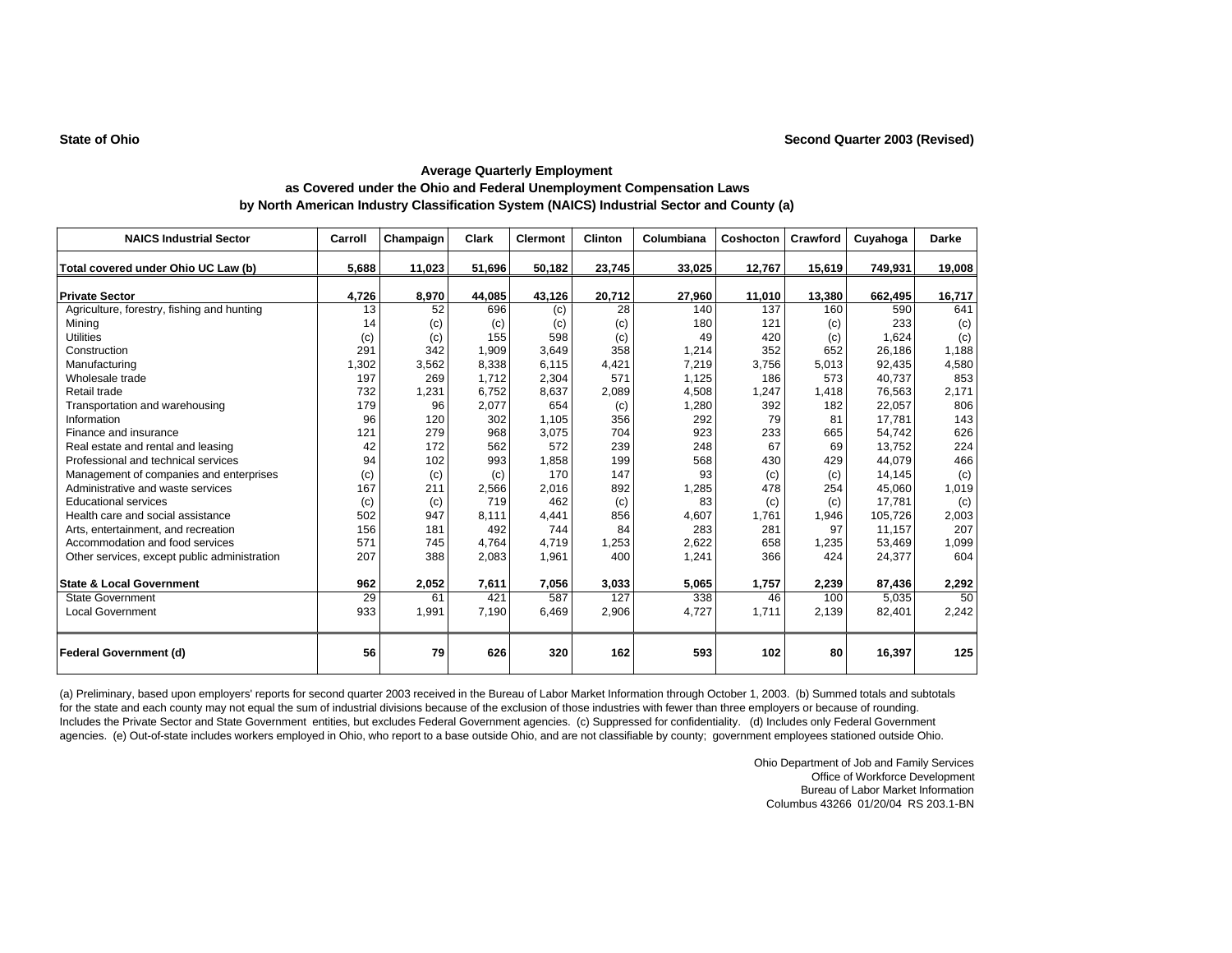| <b>NAICS Industrial Sector</b>               | Carroll | Champaign | Clark  | <b>Clermont</b> | <b>Clinton</b> | Columbiana | Coshocton | Crawford | Cuyahoga | <b>Darke</b> |
|----------------------------------------------|---------|-----------|--------|-----------------|----------------|------------|-----------|----------|----------|--------------|
| Total covered under Ohio UC Law (b)          | 5,688   | 11,023    | 51,696 | 50,182          | 23,745         | 33,025     | 12,767    | 15,619   | 749,931  | 19,008       |
|                                              |         |           |        |                 |                |            |           |          |          |              |
| <b>Private Sector</b>                        | 4,726   | 8,970     | 44,085 | 43,126          | 20,712         | 27,960     | 11,010    | 13,380   | 662,495  | 16,717       |
| Agriculture, forestry, fishing and hunting   | 13      | 52        | 696    | (c)             | 28             | 140        | 137       | 160      | 590      | 641          |
| Minina                                       | 14      | (c)       | (c)    | (c)             | (c)            | 180        | 121       | (c)      | 233      | (c)          |
| <b>Utilities</b>                             | (c)     | (c)       | 155    | 598             | (c)            | 49         | 420       | (c)      | 1,624    | (c)          |
| Construction                                 | 291     | 342       | 1,909  | 3,649           | 358            | 1,214      | 352       | 652      | 26,186   | 1,188        |
| Manufacturing                                | 1,302   | 3,562     | 8,338  | 6.115           | 4,421          | 7,219      | 3,756     | 5,013    | 92,435   | 4,580        |
| Wholesale trade                              | 197     | 269       | 1.712  | 2,304           | 571            | 1,125      | 186       | 573      | 40.737   | 853          |
| Retail trade                                 | 732     | 1,231     | 6,752  | 8,637           | 2,089          | 4,508      | 1,247     | 1,418    | 76,563   | 2,171        |
| Transportation and warehousing               | 179     | 96        | 2,077  | 654             | (c)            | 1,280      | 392       | 182      | 22,057   | 806          |
| Information                                  | 96      | 120       | 302    | 1,105           | 356            | 292        | 79        | 81       | 17.781   | 143          |
| Finance and insurance                        | 121     | 279       | 968    | 3,075           | 704            | 923        | 233       | 665      | 54,742   | 626          |
| Real estate and rental and leasing           | 42      | 172       | 562    | 572             | 239            | 248        | 67        | 69       | 13,752   | 224          |
| Professional and technical services          | 94      | 102       | 993    | 1,858           | 199            | 568        | 430       | 429      | 44,079   | 466          |
| Management of companies and enterprises      | (c)     | (c)       | (c)    | 170             | 147            | 93         | (c)       | (c)      | 14.145   | (c)          |
| Administrative and waste services            | 167     | 211       | 2,566  | 2,016           | 892            | 1,285      | 478       | 254      | 45,060   | 1,019        |
| <b>Educational services</b>                  | (c)     | (c)       | 719    | 462             | (c)            | 83         | (c)       | (c)      | 17.781   | (c)          |
| Health care and social assistance            | 502     | 947       | 8.111  | 4,441           | 856            | 4,607      | 1,761     | 1,946    | 105.726  | 2,003        |
| Arts, entertainment, and recreation          | 156     | 181       | 492    | 744             | 84             | 283        | 281       | 97       | 11.157   | 207          |
| Accommodation and food services              | 571     | 745       | 4,764  | 4,719           | 1,253          | 2,622      | 658       | 1,235    | 53,469   | 1,099        |
| Other services, except public administration | 207     | 388       | 2,083  | 1,961           | 400            | 1,241      | 366       | 424      | 24,377   | 604          |
|                                              |         |           |        |                 |                |            |           |          |          |              |
| <b>State &amp; Local Government</b>          | 962     | 2,052     | 7,611  | 7,056           | 3,033          | 5,065      | 1,757     | 2,239    | 87,436   | 2,292        |
| <b>State Government</b>                      | 29      | 61        | 421    | 587             | 127            | 338        | 46        | 100      | 5,035    | 50           |
| Local Government                             | 933     | 1,991     | 7,190  | 6,469           | 2,906          | 4,727      | 1,711     | 2,139    | 82,401   | 2,242        |
| Federal Government (d)                       | 56      | 79        | 626    | 320             | 162            | 593        | 102       | 80       | 16,397   | 125          |

(a) Preliminary, based upon employers' reports for second quarter 2003 received in the Bureau of Labor Market Information through October 1, 2003. (b) Summed totals and subtotals for the state and each county may not equal the sum of industrial divisions because of the exclusion of those industries with fewer than three employers or because of rounding. Includes the Private Sector and State Government entities, but excludes Federal Government agencies. (c) Suppressed for confidentiality. (d) Includes only Federal Government agencies. (e) Out-of-state includes workers employed in Ohio, who report to a base outside Ohio, and are not classifiable by county; government employees stationed outside Ohio.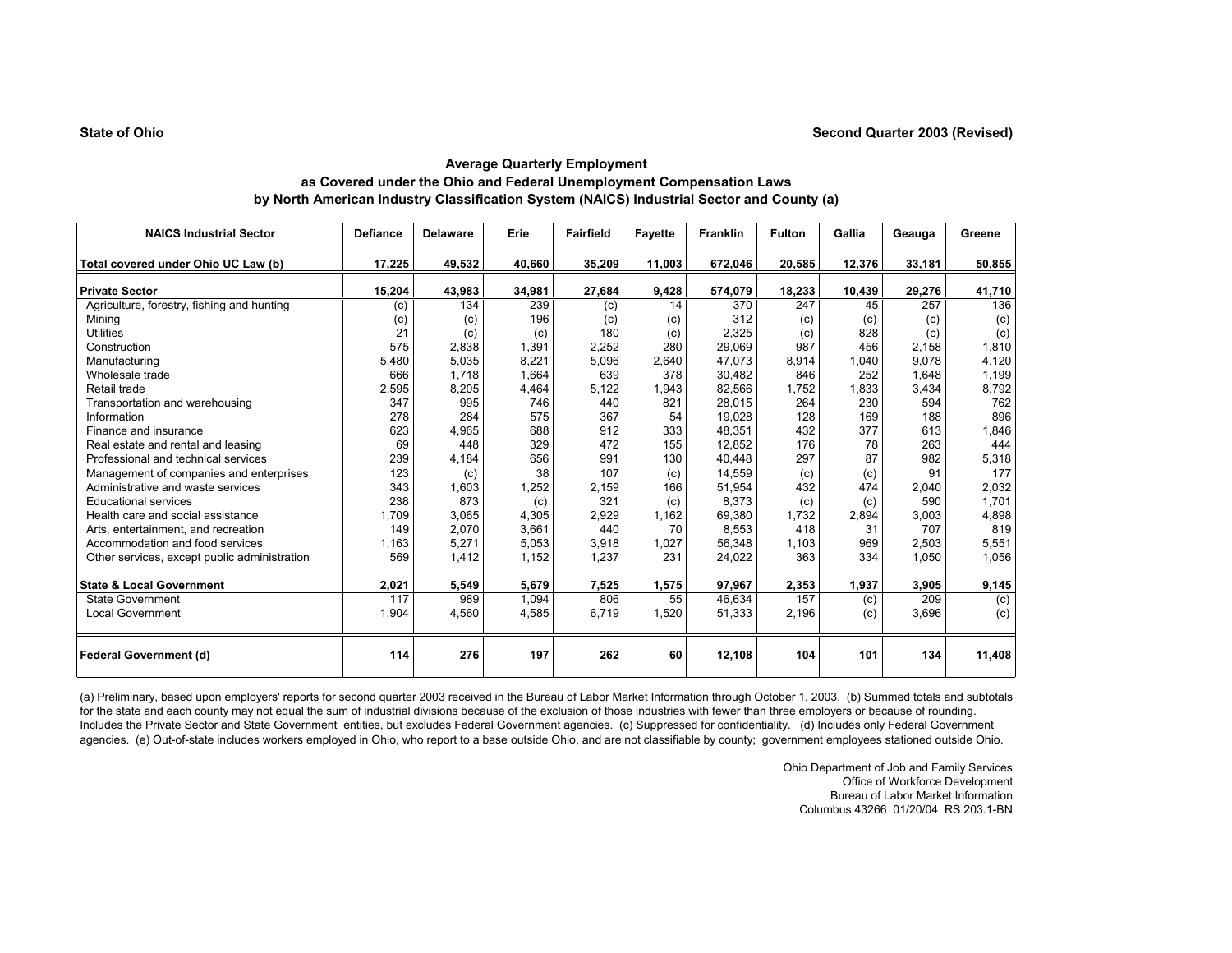| <b>NAICS Industrial Sector</b>               | <b>Defiance</b> | <b>Delaware</b> | Erie   | <b>Fairfield</b> | <b>Fayette</b> | <b>Franklin</b> | <b>Fulton</b> | Gallia | Geauga | Greene |
|----------------------------------------------|-----------------|-----------------|--------|------------------|----------------|-----------------|---------------|--------|--------|--------|
| Total covered under Ohio UC Law (b)          | 17,225          | 49,532          | 40,660 | 35,209           | 11,003         | 672,046         | 20,585        | 12,376 | 33,181 | 50,855 |
| <b>Private Sector</b>                        | 15,204          | 43,983          | 34,981 | 27,684           | 9,428          | 574,079         | 18,233        | 10,439 | 29,276 | 41,710 |
| Agriculture, forestry, fishing and hunting   | (c)             | 134             | 239    | (c)              | 14             | 370             | 247           | 45     | 257    | 136    |
| Mining                                       | (c)             | (c)             | 196    | (c)              | (c)            | 312             | (c)           | (c)    | (c)    | (c)    |
| <b>Utilities</b>                             | 21              | (c)             | (c)    | 180              | (c)            | 2,325           | (c)           | 828    | (c)    | (c)    |
| Construction                                 | 575             | 2,838           | 1,391  | 2,252            | 280            | 29,069          | 987           | 456    | 2.158  | 1,810  |
| Manufacturing                                | 5,480           | 5,035           | 8,221  | 5,096            | 2,640          | 47,073          | 8,914         | 1.040  | 9.078  | 4,120  |
| Wholesale trade                              | 666             | 1,718           | 1,664  | 639              | 378            | 30,482          | 846           | 252    | 1,648  | 1,199  |
| Retail trade                                 | 2,595           | 8,205           | 4,464  | 5,122            | 1,943          | 82,566          | 1,752         | 1,833  | 3,434  | 8,792  |
| Transportation and warehousing               | 347             | 995             | 746    | 440              | 821            | 28,015          | 264           | 230    | 594    | 762    |
| Information                                  | 278             | 284             | 575    | 367              | 54             | 19,028          | 128           | 169    | 188    | 896    |
| Finance and insurance                        | 623             | 4,965           | 688    | 912              | 333            | 48,351          | 432           | 377    | 613    | 1,846  |
| Real estate and rental and leasing           | 69              | 448             | 329    | 472              | 155            | 12,852          | 176           | 78     | 263    | 444    |
| Professional and technical services          | 239             | 4,184           | 656    | 991              | 130            | 40,448          | 297           | 87     | 982    | 5,318  |
| Management of companies and enterprises      | 123             | (c)             | 38     | 107              | (c)            | 14.559          | (c)           | (c)    | 91     | 177    |
| Administrative and waste services            | 343             | 1,603           | 1,252  | 2,159            | 166            | 51,954          | 432           | 474    | 2,040  | 2,032  |
| <b>Educational services</b>                  | 238             | 873             | (c)    | 321              | (c)            | 8,373           | (c)           | (c)    | 590    | 1,701  |
| Health care and social assistance            | 1.709           | 3,065           | 4,305  | 2,929            | 1,162          | 69,380          | 1.732         | 2,894  | 3,003  | 4,898  |
| Arts, entertainment, and recreation          | 149             | 2,070           | 3,661  | 440              | 70             | 8,553           | 418           | 31     | 707    | 819    |
| Accommodation and food services              | 1,163           | 5,271           | 5,053  | 3,918            | 1,027          | 56,348          | 1,103         | 969    | 2,503  | 5,551  |
| Other services, except public administration | 569             | 1,412           | 1,152  | 1,237            | 231            | 24,022          | 363           | 334    | 1,050  | 1,056  |
| <b>State &amp; Local Government</b>          | 2,021           | 5,549           | 5,679  | 7,525            | 1,575          | 97,967          | 2,353         | 1,937  | 3,905  | 9,145  |
| <b>State Government</b>                      | 117             | 989             | 1,094  | 806              | 55             | 46,634          | 157           | (c)    | 209    | (c)    |
| <b>Local Government</b>                      | 1,904           | 4,560           | 4,585  | 6,719            | 1,520          | 51,333          | 2,196         | (c)    | 3,696  | (c)    |
| Federal Government (d)                       | 114             | 276             | 197    | 262              | 60             | 12,108          | 104           | 101    | 134    | 11,408 |

(a) Preliminary, based upon employers' reports for second quarter 2003 received in the Bureau of Labor Market Information through October 1, 2003. (b) Summed totals and subtotals for the state and each county may not equal the sum of industrial divisions because of the exclusion of those industries with fewer than three employers or because of rounding. Includes the Private Sector and State Government entities, but excludes Federal Government agencies. (c) Suppressed for confidentiality. (d) Includes only Federal Government agencies. (e) Out-of-state includes workers employed in Ohio, who report to a base outside Ohio, and are not classifiable by county; government employees stationed outside Ohio.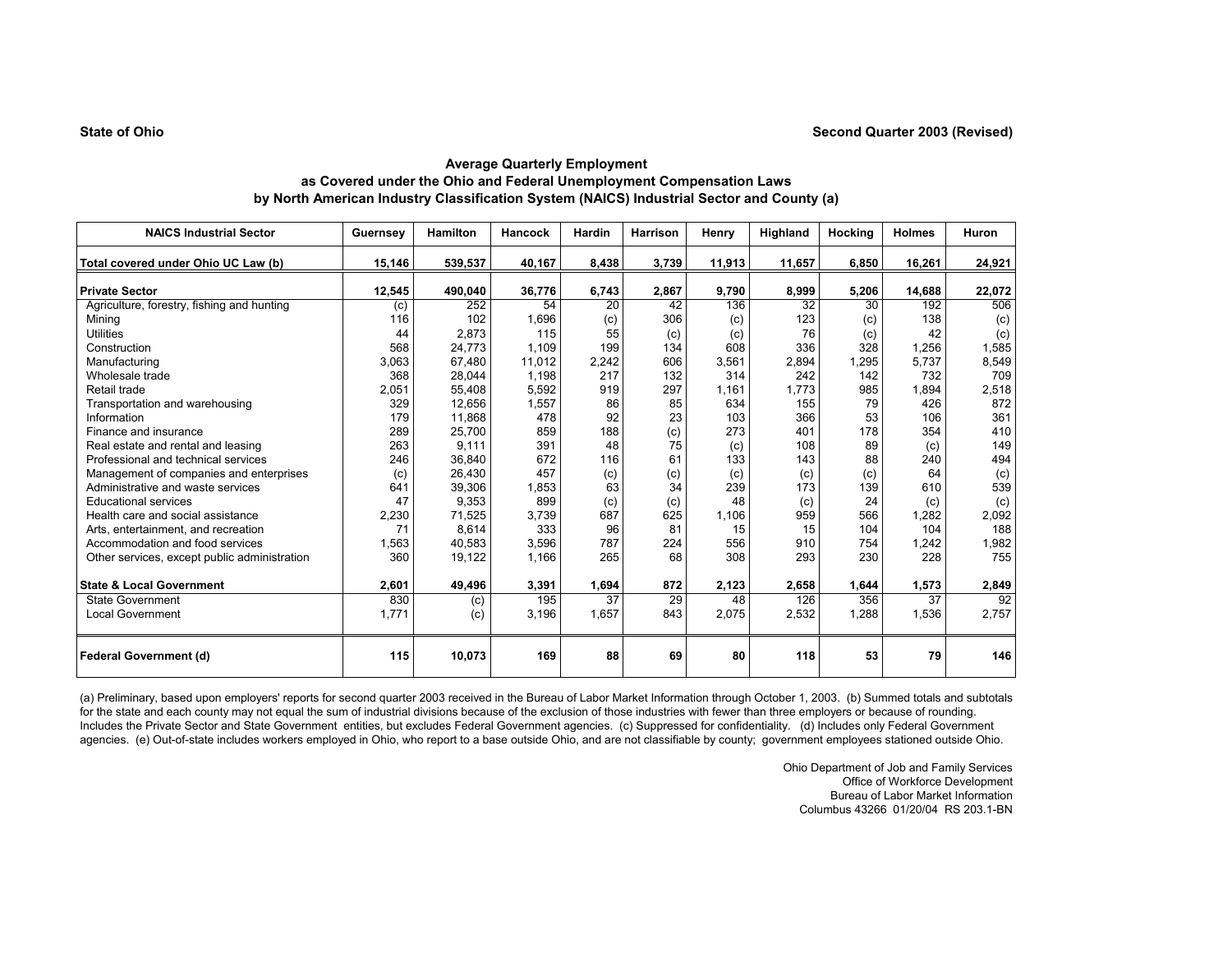| <b>NAICS Industrial Sector</b>               | Guernsey | <b>Hamilton</b> | <b>Hancock</b> | Hardin | Harrison | Henry  | Highland | Hocking | <b>Holmes</b> | Huron  |
|----------------------------------------------|----------|-----------------|----------------|--------|----------|--------|----------|---------|---------------|--------|
| Total covered under Ohio UC Law (b)          | 15,146   | 539,537         | 40,167         | 8,438  | 3,739    | 11,913 | 11,657   | 6,850   | 16,261        | 24,921 |
|                                              |          |                 |                |        |          |        |          |         |               |        |
| <b>Private Sector</b>                        | 12,545   | 490,040         | 36,776         | 6,743  | 2,867    | 9,790  | 8,999    | 5,206   | 14,688        | 22,072 |
| Agriculture, forestry, fishing and hunting   | (c)      | 252             | 54             | 20     | 42       | 136    | 32       | 30      | 192           | 506    |
| Mining                                       | 116      | 102             | 1,696          | (c)    | 306      | (c)    | 123      | (c)     | 138           | (c)    |
| <b>Utilities</b>                             | 44       | 2,873           | 115            | 55     | (c)      | (c)    | 76       | (c)     | 42            | (c)    |
| Construction                                 | 568      | 24,773          | 1,109          | 199    | 134      | 608    | 336      | 328     | 1.256         | 1,585  |
| Manufacturing                                | 3,063    | 67,480          | 11,012         | 2,242  | 606      | 3,561  | 2,894    | 1,295   | 5,737         | 8,549  |
| Wholesale trade                              | 368      | 28,044          | 1,198          | 217    | 132      | 314    | 242      | 142     | 732           | 709    |
| Retail trade                                 | 2,051    | 55,408          | 5,592          | 919    | 297      | 1,161  | 1.773    | 985     | 1,894         | 2,518  |
| Transportation and warehousing               | 329      | 12,656          | 1,557          | 86     | 85       | 634    | 155      | 79      | 426           | 872    |
| Information                                  | 179      | 11,868          | 478            | 92     | 23       | 103    | 366      | 53      | 106           | 361    |
| Finance and insurance                        | 289      | 25,700          | 859            | 188    | (c)      | 273    | 401      | 178     | 354           | 410    |
| Real estate and rental and leasing           | 263      | 9,111           | 391            | 48     | 75       | (c)    | 108      | 89      | (c)           | 149    |
| Professional and technical services          | 246      | 36,840          | 672            | 116    | 61       | 133    | 143      | 88      | 240           | 494    |
| Management of companies and enterprises      | (c)      | 26,430          | 457            | (c)    | (c)      | (c)    | (c)      | (c)     | 64            | (c)    |
| Administrative and waste services            | 641      | 39,306          | 1,853          | 63     | 34       | 239    | 173      | 139     | 610           | 539    |
| <b>Educational services</b>                  | 47       | 9,353           | 899            | (c)    | (c)      | 48     | (c)      | 24      | (c)           | (c)    |
| Health care and social assistance            | 2,230    | 71,525          | 3,739          | 687    | 625      | 1.106  | 959      | 566     | 1.282         | 2,092  |
| Arts, entertainment, and recreation          | 71       | 8,614           | 333            | 96     | 81       | 15     | 15       | 104     | 104           | 188    |
| Accommodation and food services              | 1,563    | 40,583          | 3,596          | 787    | 224      | 556    | 910      | 754     | 1,242         | 1,982  |
| Other services, except public administration | 360      | 19,122          | 1,166          | 265    | 68       | 308    | 293      | 230     | 228           | 755    |
| <b>State &amp; Local Government</b>          | 2,601    | 49,496          | 3,391          | 1,694  | 872      | 2,123  | 2,658    | 1,644   | 1,573         | 2,849  |
| <b>State Government</b>                      | 830      | (c)             | 195            | 37     | 29       | 48     | 126      | 356     | 37            | 92     |
| <b>Local Government</b>                      | 1.771    | (c)             | 3.196          | 1.657  | 843      | 2.075  | 2,532    | 1.288   | 1,536         | 2,757  |
| <b>Federal Government (d)</b>                | 115      | 10,073          | 169            | 88     | 69       | 80     | 118      | 53      | 79            | 146    |

(a) Preliminary, based upon employers' reports for second quarter 2003 received in the Bureau of Labor Market Information through October 1, 2003. (b) Summed totals and subtotals for the state and each county may not equal the sum of industrial divisions because of the exclusion of those industries with fewer than three employers or because of rounding. Includes the Private Sector and State Government entities, but excludes Federal Government agencies. (c) Suppressed for confidentiality. (d) Includes only Federal Government agencies. (e) Out-of-state includes workers employed in Ohio, who report to a base outside Ohio, and are not classifiable by county; government employees stationed outside Ohio.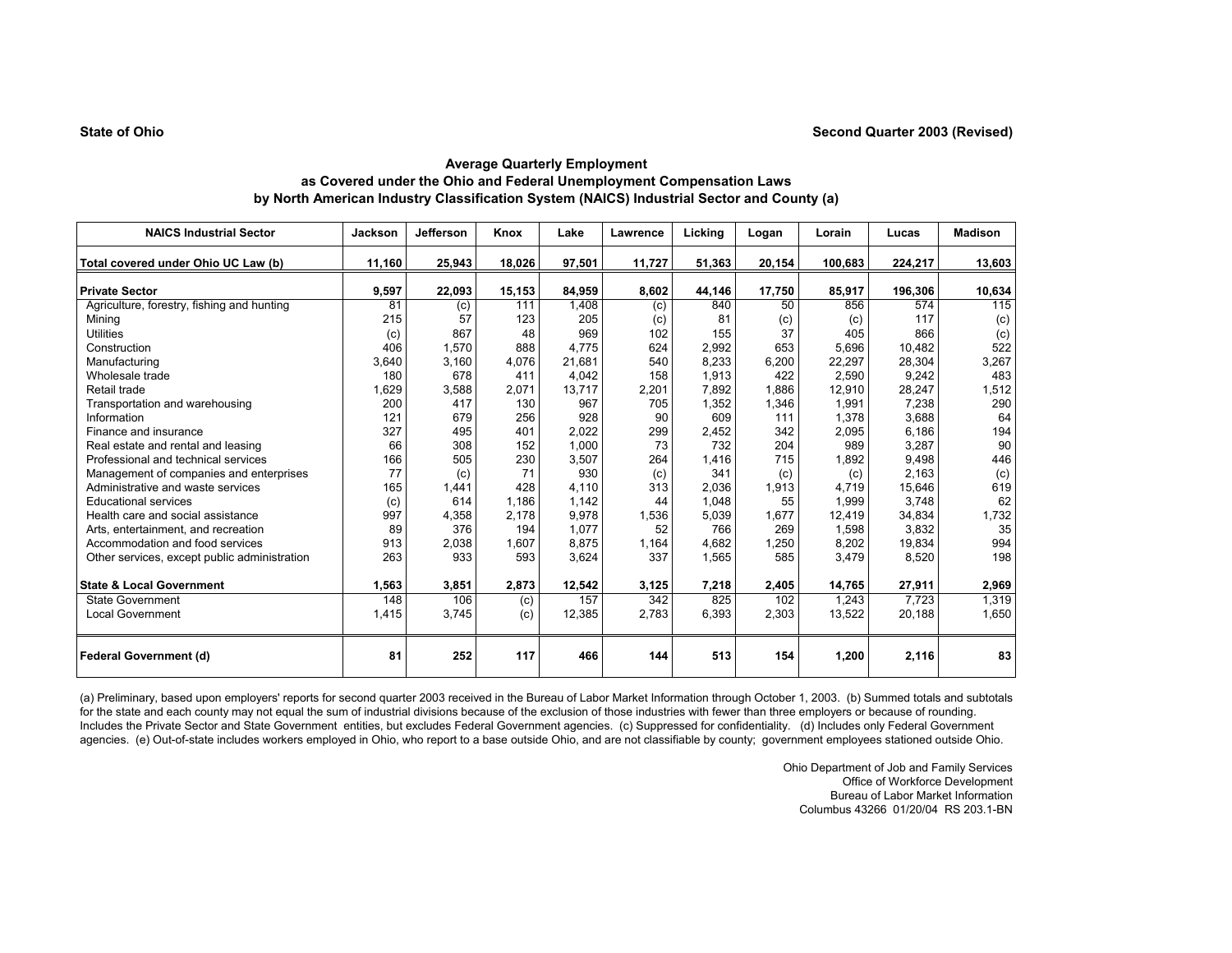| <b>NAICS Industrial Sector</b>               | Jackson | Jefferson | Knox   | Lake   | Lawrence | Licking | Logan  | Lorain  | Lucas   | <b>Madison</b> |
|----------------------------------------------|---------|-----------|--------|--------|----------|---------|--------|---------|---------|----------------|
| Total covered under Ohio UC Law (b)          | 11,160  | 25,943    | 18,026 | 97,501 | 11,727   | 51,363  | 20,154 | 100,683 | 224,217 | 13,603         |
| <b>Private Sector</b>                        | 9,597   | 22,093    | 15,153 | 84,959 | 8,602    | 44,146  | 17,750 | 85,917  | 196,306 | 10,634         |
| Agriculture, forestry, fishing and hunting   | 81      | (c)       | 111    | 1,408  | (c)      | 840     | 50     | 856     | 574     | 115            |
| Minina                                       | 215     | 57        | 123    | 205    | (c)      | 81      | (c)    | (c)     | 117     | (c)            |
| <b>Utilities</b>                             | (c)     | 867       | 48     | 969    | 102      | 155     | 37     | 405     | 866     | (c)            |
| Construction                                 | 406     | 1,570     | 888    | 4.775  | 624      | 2,992   | 653    | 5,696   | 10.482  | 522            |
| Manufacturing                                | 3,640   | 3,160     | 4.076  | 21,681 | 540      | 8.233   | 6,200  | 22,297  | 28,304  | 3,267          |
| Wholesale trade                              | 180     | 678       | 411    | 4,042  | 158      | 1,913   | 422    | 2,590   | 9,242   | 483            |
| Retail trade                                 | 1,629   | 3,588     | 2,071  | 13,717 | 2,201    | 7,892   | 1,886  | 12,910  | 28,247  | 1,512          |
| Transportation and warehousing               | 200     | 417       | 130    | 967    | 705      | 1,352   | 1,346  | 1,991   | 7,238   | 290            |
| Information                                  | 121     | 679       | 256    | 928    | 90       | 609     | 111    | 1,378   | 3,688   | 64             |
| Finance and insurance                        | 327     | 495       | 401    | 2,022  | 299      | 2,452   | 342    | 2,095   | 6,186   | 194            |
| Real estate and rental and leasing           | 66      | 308       | 152    | 1,000  | 73       | 732     | 204    | 989     | 3,287   | 90             |
| Professional and technical services          | 166     | 505       | 230    | 3,507  | 264      | 1.416   | 715    | 1,892   | 9,498   | 446            |
| Management of companies and enterprises      | 77      | (c)       | 71     | 930    | (c)      | 341     | (c)    | (c)     | 2,163   | (c)            |
| Administrative and waste services            | 165     | 1,441     | 428    | 4.110  | 313      | 2.036   | 1,913  | 4.719   | 15,646  | 619            |
| <b>Educational services</b>                  | (c)     | 614       | 1.186  | 1.142  | 44       | 1.048   | 55     | 1.999   | 3.748   | 62             |
| Health care and social assistance            | 997     | 4,358     | 2,178  | 9,978  | 1,536    | 5,039   | 1,677  | 12,419  | 34,834  | 1,732          |
| Arts, entertainment, and recreation          | 89      | 376       | 194    | 1,077  | 52       | 766     | 269    | 1,598   | 3,832   | 35             |
| Accommodation and food services              | 913     | 2,038     | 1,607  | 8,875  | 1,164    | 4.682   | 1,250  | 8,202   | 19,834  | 994            |
| Other services, except public administration | 263     | 933       | 593    | 3,624  | 337      | 1,565   | 585    | 3,479   | 8,520   | 198            |
| <b>State &amp; Local Government</b>          | 1,563   | 3,851     | 2,873  | 12,542 | 3,125    | 7,218   | 2,405  | 14,765  | 27,911  | 2,969          |
| <b>State Government</b>                      | 148     | 106       | (c)    | 157    | 342      | 825     | 102    | 1,243   | 7,723   | 1,319          |
| <b>Local Government</b>                      | 1,415   | 3,745     | (c)    | 12,385 | 2,783    | 6,393   | 2,303  | 13,522  | 20,188  | 1,650          |
| Federal Government (d)                       | 81      | 252       | 117    | 466    | 144      | 513     | 154    | 1,200   | 2,116   | 83             |

(a) Preliminary, based upon employers' reports for second quarter 2003 received in the Bureau of Labor Market Information through October 1, 2003. (b) Summed totals and subtotals for the state and each county may not equal the sum of industrial divisions because of the exclusion of those industries with fewer than three employers or because of rounding. Includes the Private Sector and State Government entities, but excludes Federal Government agencies. (c) Suppressed for confidentiality. (d) Includes only Federal Government agencies. (e) Out-of-state includes workers employed in Ohio, who report to a base outside Ohio, and are not classifiable by county; government employees stationed outside Ohio.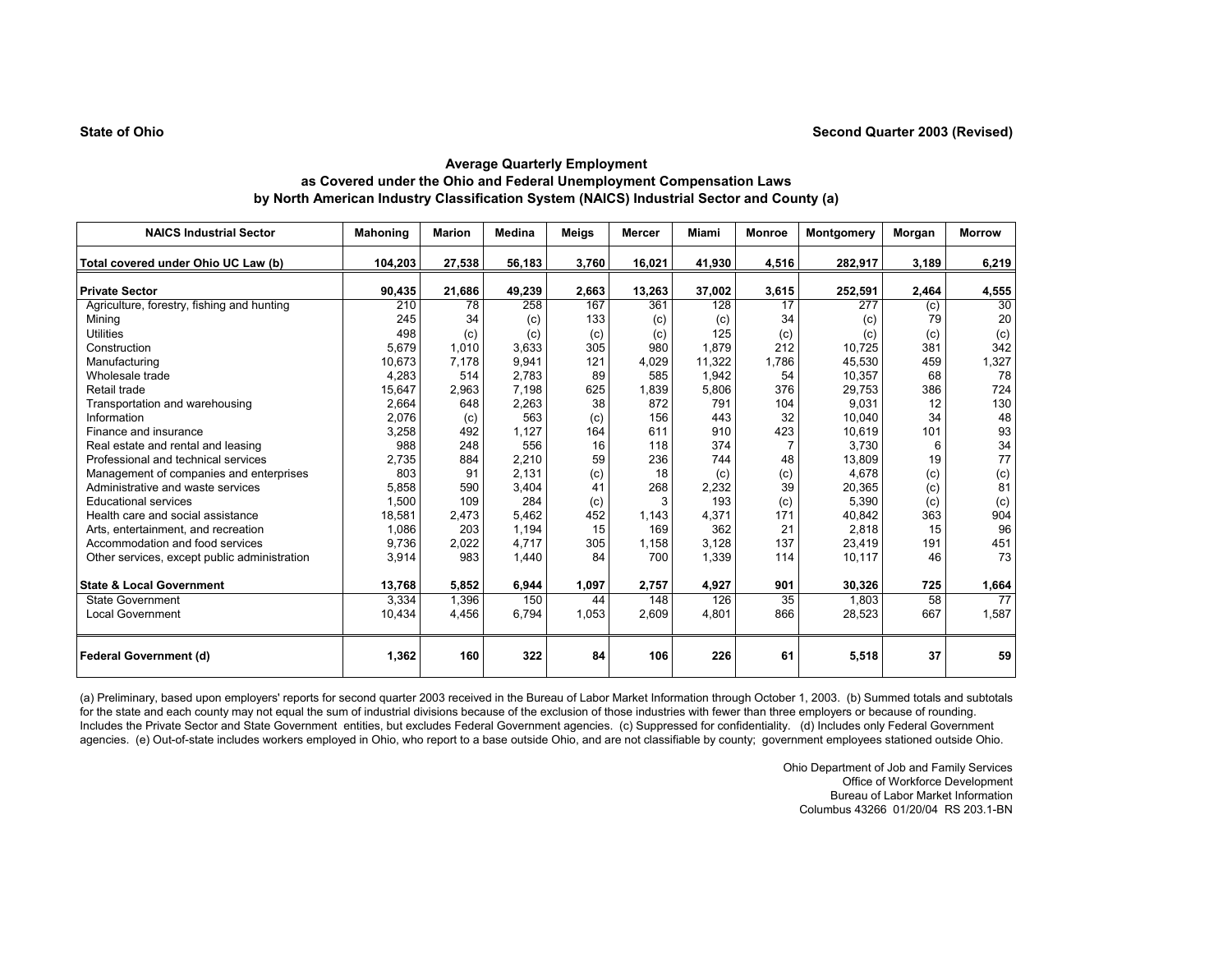| <b>NAICS Industrial Sector</b>               | <b>Mahoning</b> | <b>Marion</b> | <b>Medina</b> | Meigs | <b>Mercer</b> | Miami  | <b>Monroe</b> | Montgomery | Morgan | <b>Morrow</b> |
|----------------------------------------------|-----------------|---------------|---------------|-------|---------------|--------|---------------|------------|--------|---------------|
| Total covered under Ohio UC Law (b)          | 104,203         | 27,538        | 56,183        | 3,760 | 16,021        | 41,930 | 4,516         | 282,917    | 3,189  | 6,219         |
| <b>Private Sector</b>                        | 90,435          | 21,686        | 49,239        | 2,663 | 13,263        | 37,002 | 3,615         | 252,591    | 2,464  | 4,555         |
| Agriculture, forestry, fishing and hunting   | 210             | 78            | 258           | 167   | 361           | 128    | 17            | 277        | (c)    | 30            |
| Mining                                       | 245             | 34            | (c)           | 133   | (c)           | (c)    | 34            | (c)        | 79     | 20            |
| <b>Utilities</b>                             | 498             | (c)           | (c)           | (c)   | (c)           | 125    | (c)           | (c)        | (c)    | (c)           |
| Construction                                 | 5.679           | 1.010         | 3.633         | 305   | 980           | 1.879  | 212           | 10.725     | 381    | 342           |
| Manufacturing                                | 10,673          | 7,178         | 9,941         | 121   | 4,029         | 11,322 | 1,786         | 45,530     | 459    | 1,327         |
| Wholesale trade                              | 4,283           | 514           | 2,783         | 89    | 585           | 1,942  | 54            | 10,357     | 68     | 78            |
| Retail trade                                 | 15,647          | 2,963         | 7,198         | 625   | 1,839         | 5,806  | 376           | 29,753     | 386    | 724           |
| Transportation and warehousing               | 2,664           | 648           | 2,263         | 38    | 872           | 791    | 104           | 9,031      | 12     | 130           |
| Information                                  | 2,076           | (c)           | 563           | (c)   | 156           | 443    | 32            | 10,040     | 34     | 48            |
| Finance and insurance                        | 3,258           | 492           | 1,127         | 164   | 611           | 910    | 423           | 10,619     | 101    | 93            |
| Real estate and rental and leasing           | 988             | 248           | 556           | 16    | 118           | 374    |               | 3,730      | 6      | 34            |
| Professional and technical services          | 2,735           | 884           | 2,210         | 59    | 236           | 744    | 48            | 13,809     | 19     | 77            |
| Management of companies and enterprises      | 803             | 91            | 2.131         | (c)   | 18            | (c)    | (c)           | 4.678      | (c)    | (c)           |
| Administrative and waste services            | 5,858           | 590           | 3,404         | 41    | 268           | 2,232  | 39            | 20,365     | (c)    | 81            |
| <b>Educational services</b>                  | 1,500           | 109           | 284           | (c)   | 3             | 193    | (c)           | 5,390      | (c)    | (c)           |
| Health care and social assistance            | 18,581          | 2,473         | 5,462         | 452   | 1,143         | 4,371  | 171           | 40,842     | 363    | 904           |
| Arts, entertainment, and recreation          | 1.086           | 203           | 1,194         | 15    | 169           | 362    | 21            | 2,818      | 15     | 96            |
| Accommodation and food services              | 9,736           | 2,022         | 4.717         | 305   | 1,158         | 3,128  | 137           | 23,419     | 191    | 451           |
| Other services, except public administration | 3,914           | 983           | 1,440         | 84    | 700           | 1,339  | 114           | 10,117     | 46     | 73            |
| <b>State &amp; Local Government</b>          | 13,768          | 5,852         | 6,944         | 1,097 | 2,757         | 4,927  | 901           | 30,326     | 725    | 1,664         |
| <b>State Government</b>                      | 3,334           | 1,396         | 150           | 44    | 148           | 126    | 35            | 1.803      | 58     | 77            |
| <b>Local Government</b>                      | 10.434          | 4,456         | 6.794         | 1.053 | 2.609         | 4.801  | 866           | 28.523     | 667    | 1,587         |
| <b>Federal Government (d)</b>                | 1,362           | 160           | 322           | 84    | 106           | 226    | 61            | 5,518      | 37     | 59            |

(a) Preliminary, based upon employers' reports for second quarter 2003 received in the Bureau of Labor Market Information through October 1, 2003. (b) Summed totals and subtotals for the state and each county may not equal the sum of industrial divisions because of the exclusion of those industries with fewer than three employers or because of rounding. Includes the Private Sector and State Government entities, but excludes Federal Government agencies. (c) Suppressed for confidentiality. (d) Includes only Federal Government agencies. (e) Out-of-state includes workers employed in Ohio, who report to a base outside Ohio, and are not classifiable by county; government employees stationed outside Ohio.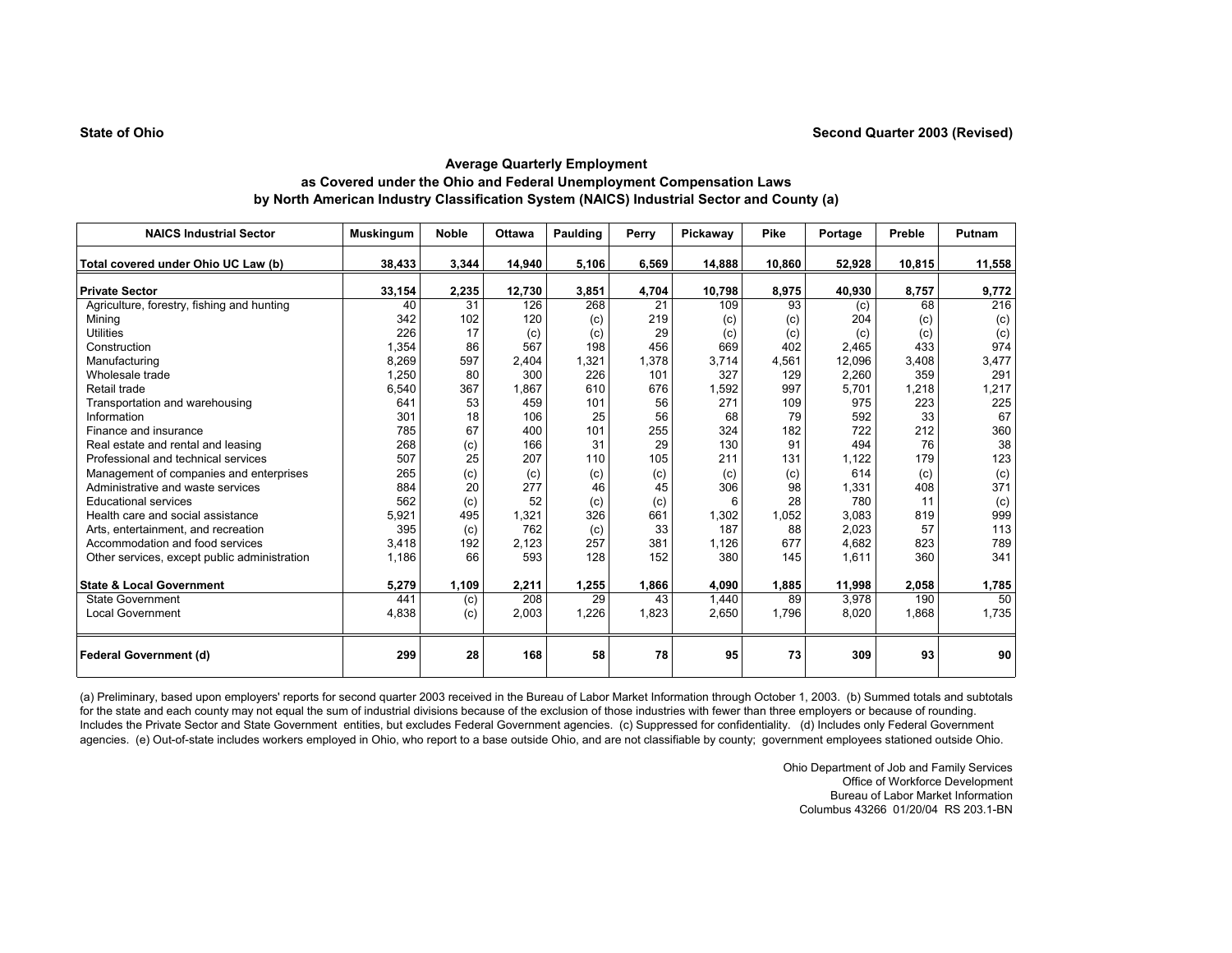| <b>NAICS Industrial Sector</b>               | <b>Muskingum</b> | <b>Noble</b> | <b>Ottawa</b> | Paulding | Perry | Pickaway | Pike   | Portage | Preble | Putnam |
|----------------------------------------------|------------------|--------------|---------------|----------|-------|----------|--------|---------|--------|--------|
| Total covered under Ohio UC Law (b)          | 38,433           | 3,344        | 14,940        | 5,106    | 6,569 | 14,888   | 10,860 | 52,928  | 10,815 | 11,558 |
| <b>Private Sector</b>                        | 33,154           | 2,235        | 12,730        | 3,851    | 4,704 | 10,798   | 8,975  | 40,930  | 8,757  | 9,772  |
| Agriculture, forestry, fishing and hunting   | 40               | 31           | 126           | 268      | 21    | 109      | 93     | (c)     | 68     | 216    |
| Mining                                       | 342              | 102          | 120           | (c)      | 219   | (c)      | (c)    | 204     | (c)    | (c)    |
| <b>Utilities</b>                             | 226              | 17           | (c)           | (c)      | 29    | (c)      | (c)    | (c)     | (c)    | (c)    |
| Construction                                 | 1,354            | 86           | 567           | 198      | 456   | 669      | 402    | 2.465   | 433    | 974    |
| Manufacturing                                | 8,269            | 597          | 2,404         | 1,321    | 1.378 | 3.714    | 4,561  | 12.096  | 3,408  | 3,477  |
| Wholesale trade                              | 1,250            | 80           | 300           | 226      | 101   | 327      | 129    | 2,260   | 359    | 291    |
| Retail trade                                 | 6,540            | 367          | 1,867         | 610      | 676   | 1,592    | 997    | 5,701   | 1,218  | 1,217  |
| Transportation and warehousing               | 641              | 53           | 459           | 101      | 56    | 271      | 109    | 975     | 223    | 225    |
| Information                                  | 301              | 18           | 106           | 25       | 56    | 68       | 79     | 592     | 33     | 67     |
| Finance and insurance                        | 785              | 67           | 400           | 101      | 255   | 324      | 182    | 722     | 212    | 360    |
| Real estate and rental and leasing           | 268              | (c)          | 166           | 31       | 29    | 130      | 91     | 494     | 76     | 38     |
| Professional and technical services          | 507              | 25           | 207           | 110      | 105   | 211      | 131    | 1,122   | 179    | 123    |
| Management of companies and enterprises      | 265              | (c)          | (c)           | (c)      | (c)   | (c)      | (c)    | 614     | (c)    | (c)    |
| Administrative and waste services            | 884              | 20           | 277           | 46       | 45    | 306      | 98     | 1,331   | 408    | 371    |
| <b>Educational services</b>                  | 562              | (c)          | 52            | (c)      | (c)   | 6        | 28     | 780     | 11     | (c)    |
| Health care and social assistance            | 5,921            | 495          | 1,321         | 326      | 661   | 1,302    | 1,052  | 3,083   | 819    | 999    |
| Arts, entertainment, and recreation          | 395              | (c)          | 762           | (c)      | 33    | 187      | 88     | 2,023   | 57     | 113    |
| Accommodation and food services              | 3.418            | 192          | 2,123         | 257      | 381   | 1,126    | 677    | 4,682   | 823    | 789    |
| Other services, except public administration | 1,186            | 66           | 593           | 128      | 152   | 380      | 145    | 1,611   | 360    | 341    |
| <b>State &amp; Local Government</b>          | 5,279            | 1,109        | 2,211         | 1,255    | 1,866 | 4,090    | 1,885  | 11,998  | 2,058  | 1,785  |
| <b>State Government</b>                      | 441              | (c)          | 208           | 29       | 43    | 1,440    | 89     | 3,978   | 190    | 50     |
| <b>Local Government</b>                      | 4,838            | (c)          | 2,003         | 1.226    | 1,823 | 2,650    | 1.796  | 8,020   | 1,868  | 1,735  |
| <b>Federal Government (d)</b>                | 299              | 28           | 168           | 58       | 78    | 95       | 73     | 309     | 93     | 90     |

(a) Preliminary, based upon employers' reports for second quarter 2003 received in the Bureau of Labor Market Information through October 1, 2003. (b) Summed totals and subtotals for the state and each county may not equal the sum of industrial divisions because of the exclusion of those industries with fewer than three employers or because of rounding. Includes the Private Sector and State Government entities, but excludes Federal Government agencies. (c) Suppressed for confidentiality. (d) Includes only Federal Government agencies. (e) Out-of-state includes workers employed in Ohio, who report to a base outside Ohio, and are not classifiable by county; government employees stationed outside Ohio.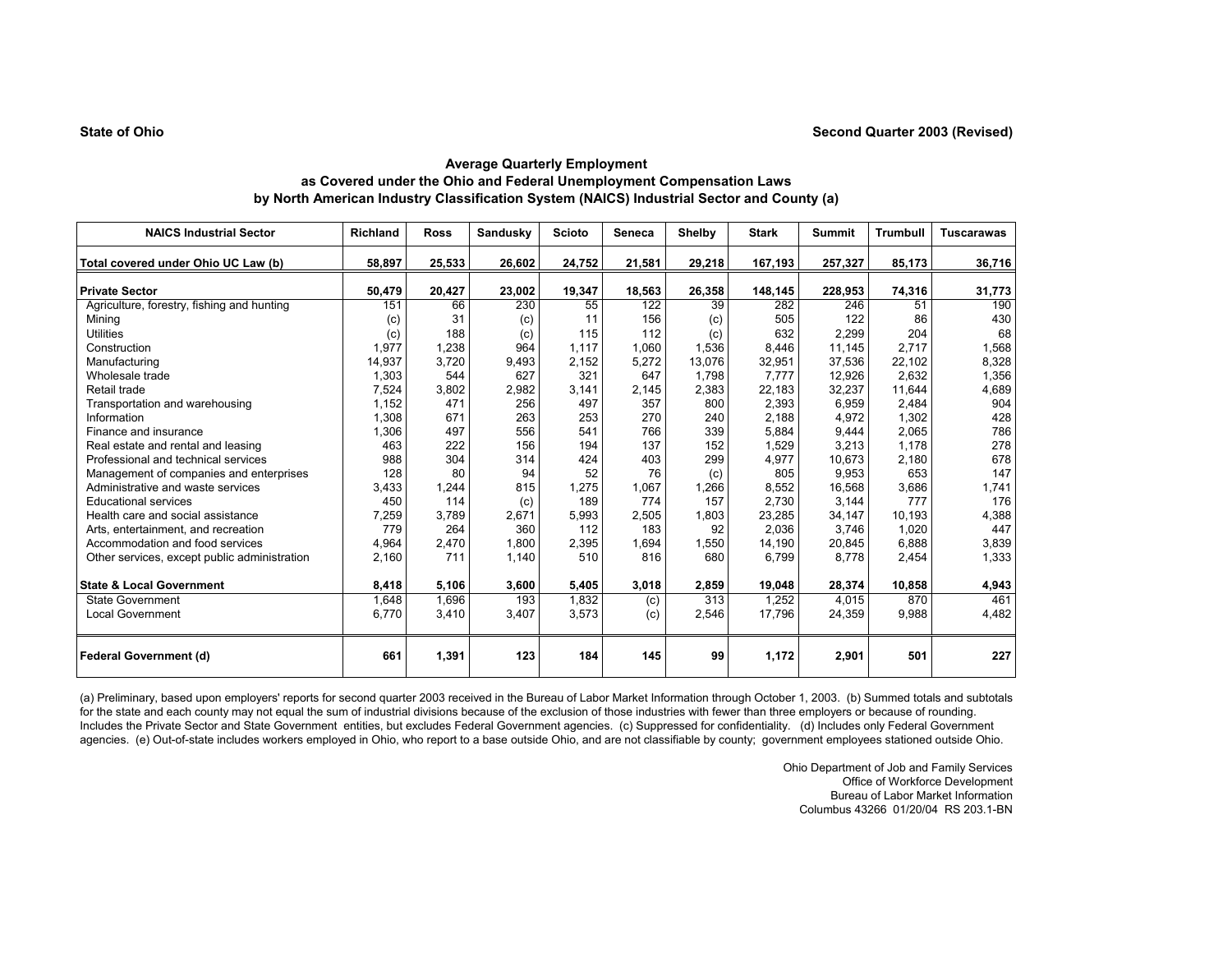| <b>NAICS Industrial Sector</b>               | Richland | <b>Ross</b> | Sandusky | <b>Scioto</b> | Seneca | Shelby | <b>Stark</b> | <b>Summit</b> | <b>Trumbull</b> | <b>Tuscarawas</b> |
|----------------------------------------------|----------|-------------|----------|---------------|--------|--------|--------------|---------------|-----------------|-------------------|
| Total covered under Ohio UC Law (b)          | 58,897   | 25,533      | 26,602   | 24,752        | 21,581 | 29,218 | 167,193      | 257,327       | 85,173          | 36,716            |
| <b>Private Sector</b>                        | 50,479   | 20,427      | 23,002   | 19,347        | 18,563 | 26,358 | 148,145      | 228,953       | 74,316          | 31,773            |
| Agriculture, forestry, fishing and hunting   | 151      | 66          | 230      | 55            | 122    | 39     | 282          | 246           | 51              | 190               |
| Mining                                       | (c)      | 31          | (c)      | 11            | 156    | (c)    | 505          | 122           | 86              | 430               |
| <b>Utilities</b>                             | (c)      | 188         | (c)      | 115           | 112    | (c)    | 632          | 2,299         | 204             | 68                |
| Construction                                 | 1,977    | 1,238       | 964      | 1,117         | 1,060  | 1,536  | 8,446        | 11,145        | 2,717           | 1,568             |
| Manufacturing                                | 14,937   | 3,720       | 9,493    | 2,152         | 5,272  | 13,076 | 32,951       | 37,536        | 22,102          | 8,328             |
| Wholesale trade                              | 1,303    | 544         | 627      | 321           | 647    | 1.798  | 7.777        | 12,926        | 2,632           | 1,356             |
| Retail trade                                 | 7,524    | 3,802       | 2,982    | 3,141         | 2,145  | 2,383  | 22.183       | 32,237        | 11,644          | 4,689             |
| Transportation and warehousing               | 1,152    | 471         | 256      | 497           | 357    | 800    | 2,393        | 6,959         | 2,484           | 904               |
| Information                                  | 1,308    | 671         | 263      | 253           | 270    | 240    | 2,188        | 4,972         | 1,302           | 428               |
| Finance and insurance                        | 1,306    | 497         | 556      | 541           | 766    | 339    | 5,884        | 9,444         | 2,065           | 786               |
| Real estate and rental and leasing           | 463      | 222         | 156      | 194           | 137    | 152    | 1,529        | 3,213         | 1.178           | 278               |
| Professional and technical services          | 988      | 304         | 314      | 424           | 403    | 299    | 4,977        | 10,673        | 2,180           | 678               |
| Management of companies and enterprises      | 128      | 80          | 94       | 52            | 76     | (c)    | 805          | 9,953         | 653             | 147               |
| Administrative and waste services            | 3,433    | 1,244       | 815      | 1,275         | 1,067  | 1,266  | 8,552        | 16,568        | 3,686           | 1,741             |
| <b>Educational services</b>                  | 450      | 114         | (c)      | 189           | 774    | 157    | 2.730        | 3,144         | 777             | 176               |
| Health care and social assistance            | 7,259    | 3,789       | 2,671    | 5,993         | 2,505  | 1,803  | 23,285       | 34,147        | 10,193          | 4,388             |
| Arts, entertainment, and recreation          | 779      | 264         | 360      | 112           | 183    | 92     | 2.036        | 3,746         | 1.020           | 447               |
| Accommodation and food services              | 4,964    | 2.470       | 1,800    | 2,395         | 1,694  | 1,550  | 14.190       | 20,845        | 6,888           | 3,839             |
| Other services, except public administration | 2,160    | 711         | 1,140    | 510           | 816    | 680    | 6,799        | 8,778         | 2,454           | 1,333             |
| <b>State &amp; Local Government</b>          | 8,418    | 5,106       | 3,600    | 5,405         | 3,018  | 2,859  | 19,048       | 28,374        | 10,858          | 4,943             |
| <b>State Government</b>                      | 1.648    | 1,696       | 193      | 1.832         | (c)    | 313    | 1,252        | 4,015         | 870             | 461               |
| <b>Local Government</b>                      | 6,770    | 3,410       | 3,407    | 3,573         | (c)    | 2,546  | 17,796       | 24,359        | 9,988           | 4,482             |
| <b>Federal Government (d)</b>                | 661      | 1,391       | 123      | 184           | 145    | 99     | 1,172        | 2,901         | 501             | 227               |

(a) Preliminary, based upon employers' reports for second quarter 2003 received in the Bureau of Labor Market Information through October 1, 2003. (b) Summed totals and subtotals for the state and each county may not equal the sum of industrial divisions because of the exclusion of those industries with fewer than three employers or because of rounding. Includes the Private Sector and State Government entities, but excludes Federal Government agencies. (c) Suppressed for confidentiality. (d) Includes only Federal Government agencies. (e) Out-of-state includes workers employed in Ohio, who report to a base outside Ohio, and are not classifiable by county; government employees stationed outside Ohio.